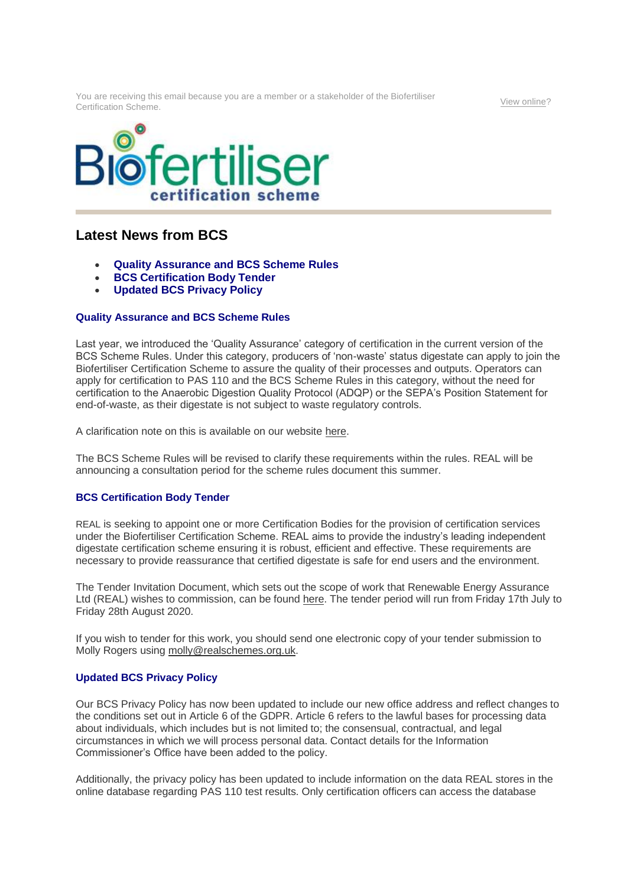You are receiving this email because you are a member or a stakeholder of the Biofertiliser Certification Scheme. [View online?](https://url6.mailanyone.net/v1/?m=1jwLXl-0004j0-3I&i=57e1b682&c=QktGg6J0Bvf4o7rCXYsuMWINNoSGfCsngaXHMuvcne_W-a-MoBWue-tAv3GbI7ulOqhro7P67eWuMzgF-amWUoDs5RMyFt2_yIrgXHhgvaTwaHKSggox667Rf48DYplafD2GPYu6qPXC9Rz361XqAuJCzytqxDxBgsv0tnPUiODr7xng69MkDnDfqon9YvLL9Vj_Wz1YcRJWqzgq6USfWr7LeF6y8Y8JkofQz9ZyVmepzpNkPFg4oxop2_I4M2tB)





## **Latest News from BCS**

- **Quality Assurance and BCS Scheme Rules**
- **BCS Certification Body Tender**
- **Updated BCS Privacy Policy**

## **Quality Assurance and BCS Scheme Rules**

Last year, we introduced the 'Quality Assurance' category of certification in the current version of the BCS Scheme Rules. Under this category, producers of 'non-waste' status digestate can apply to join the Biofertiliser Certification Scheme to assure the quality of their processes and outputs. Operators can apply for certification to PAS 110 and the BCS Scheme Rules in this category, without the need for certification to the Anaerobic Digestion Quality Protocol (ADQP) or the SEPA's Position Statement for end-of-waste, as their digestate is not subject to waste regulatory controls.

A clarification note on this is available on our website [here.](https://url6.mailanyone.net/v1/?m=1jwLXl-0004j0-3I&i=57e1b682&c=to0ReJmn4zIgfwWbOYv36JOT7p7GwB_pmfoUbaQLY5IetkzLoqPpLTTumW6ezg3trs3FJnx4lzhCPqb0_ecCQDoAHuCxR2vlWqGOCxxmu89M-rqhtUQVFpoO7x5hiTE3KHAvyMPcjwtIQUdMa7F6gVj9J1Hw5gUr99d2YYA0APr9RZxew43t7SFvCYqKZflqlrTlWS-byf32CzdHolJ8CTE0xLJ3wBQD_XZAfLIHO0xG89po2QGPorygn8kahWvZ)

The BCS Scheme Rules will be revised to clarify these requirements within the rules. REAL will be announcing a consultation period for the scheme rules document this summer.

## **BCS Certification Body Tender**

REAL is seeking to appoint one or more Certification Bodies for the provision of certification services under the Biofertiliser Certification Scheme. REAL aims to provide the industry's leading independent digestate certification scheme ensuring it is robust, efficient and effective. These requirements are necessary to provide reassurance that certified digestate is safe for end users and the environment.

The Tender Invitation Document, which sets out the scope of work that Renewable Energy Assurance Ltd (REAL) wishes to commission, can be found [here.](https://url6.mailanyone.net/v1/?m=1jwLXl-0004j0-3I&i=57e1b682&c=uk3P17MINpPps8S8-vBaNqVZ67t2VsgGYJ1HpiRRjYXYA4mWxTDgiMI8eQJIHp8cVc73nvW9aQZ1n8-CmaEIeLdUmCCzhPh1B_QaOjHHN-qDYa5BSrQU4EjqAsLcaqi2pcqm6hsB8WnJfhVrxoz8D8YIH11jcfrFngpzEU9KJj7g0kvsDoYtzpZr-TLWAt919BgBkaQrr-3qy6EfyGZIVhEHX6G10m2iDV0YSQ0dWNpuKs6v37qzXrDfORqGvvn8) The tender period will run from Friday 17th July to Friday 28th August 2020.

If you wish to tender for this work, you should send one electronic copy of your tender submission to Molly Rogers using [molly@realschemes.org.uk.](mailto:molly@realschemes.org.uk)

## **Updated BCS Privacy Policy**

Our BCS Privacy Policy has now been updated to include our new office address and reflect changes to the conditions set out in Article 6 of the GDPR. Article 6 refers to the lawful bases for processing data about individuals, which includes but is not limited to; the consensual, contractual, and legal circumstances in which we will process personal data. Contact details for the Information Commissioner's Office have been added to the policy.

Additionally, the privacy policy has been updated to include information on the data REAL stores in the online database regarding PAS 110 test results. Only certification officers can access the database